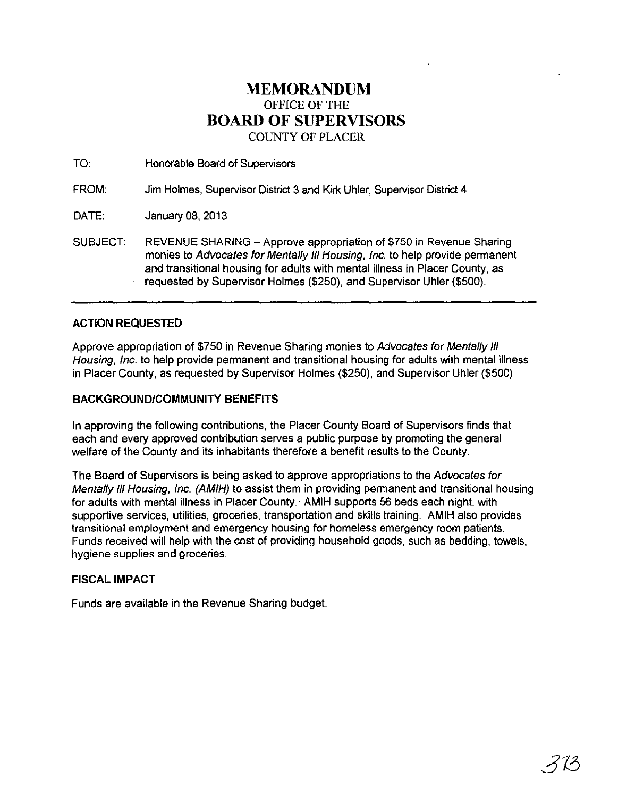## **MEMORANDUM**  OFFICE OF THE **BOARD OF SUPERVISORS**  COUNTY OF PLACER

TO: Honorable Board of Supervisors

FROM: Jim Holmes, Supervisor District 3 and Kirk Uhler, Supervisor District 4

DATE: January 08,2013

SUBJECT: REVENUE SHARING - Approve appropriation of \$750 in Revenue Sharing monies to Advocates for Mentally III Housing, Inc. to help provide permanent and transitional housing for adults with mental illness in Placer County, as requested by Supervisor Holmes (\$250), and Supervisor Uhler (\$500).

## **ACTION REQUESTED**

Approve appropriation of \$750 in Revenue Sharing monies to Advocates for Mentally III Housing, Inc. to help provide permanent and transitional housing for adults with mental illness in Placer County, as requested by Supervisor Holmes (\$250), and Supervisor Uhler (\$500).

## **BACKGROUND/COMMUNITY BENEFITS**

**In** approving the following contributions, the Placer County Board of Supervisors finds that each and every approved contribution serves a public purpose by promoting the general welfare of the County and its inhabitants therefore a benefit results to the County.

The Board of Supervisors is being asked to approve appropriations to the Advocates for Mentally III Housing, Inc. (AMIH) to assist them in providing permanent and transitional housing for adults with mental illness in Placer County. AMIH supports 56 beds each night, with supportive services, utilities, groceries, transportation and skills training. AMIH also provides transitional employment and emergency housing for homeless emergency room patients. Funds received will help with the cost of providing household goods, such as bedding, towels, hygiene supplies and groceries.

## **FISCAL IMPACT**

Funds are available in the Revenue Sharing budget.